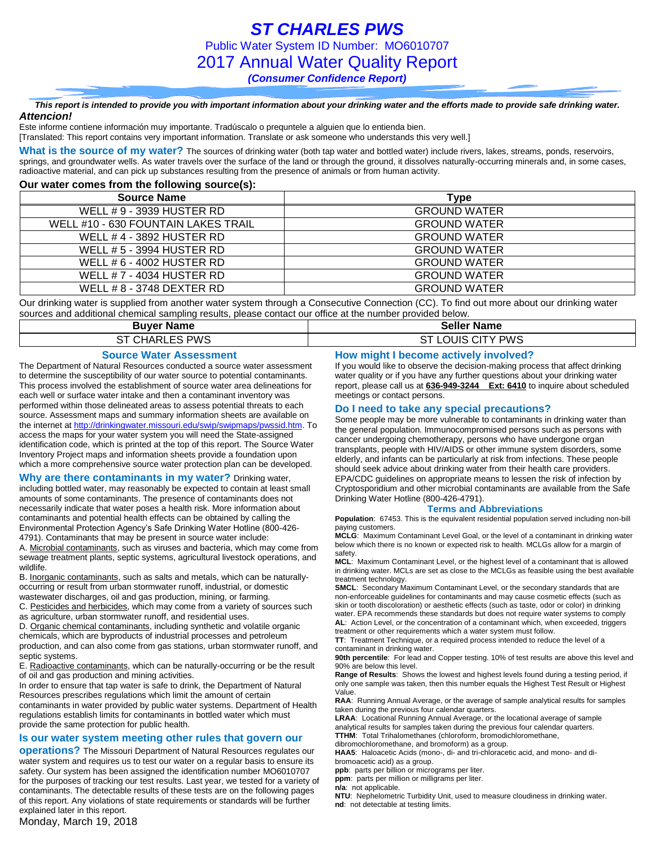### *This report is intended to provide you with important information about your drinking water and the efforts made to provide safe drinking water. Attencion!*

Este informe contiene información muy importante. Tradúscalo o prequntele a alguien que lo entienda bien.

[Translated: This report contains very important information. Translate or ask someone who understands this very well.]

What is the source of my water? The sources of drinking water (both tap water and bottled water) include rivers, lakes, streams, ponds, reservoirs, springs, and groundwater wells. As water travels over the surface of the land or through the ground, it dissolves naturally-occurring minerals and, in some cases, radioactive material, and can pick up substances resulting from the presence of animals or from human activity.

### **Our water comes from the following source(s):**

| Source Name                         | Type                |
|-------------------------------------|---------------------|
| WELL # 9 - 3939 HUSTER RD           | <b>GROUND WATER</b> |
| WELL #10 - 630 FOUNTAIN LAKES TRAIL | <b>GROUND WATER</b> |
| WELL #4 - 3892 HUSTER RD            | <b>GROUND WATER</b> |
| WELL # 5 - 3994 HUSTER RD           | <b>GROUND WATER</b> |
| WELL # 6 - 4002 HUSTER RD           | <b>GROUND WATER</b> |
| WELL # 7 - 4034 HUSTER RD           | <b>GROUND WATER</b> |
| WELL # 8 - 3748 DEXTER RD           | <b>GROUND WATER</b> |

Our drinking water is supplied from another water system through a Consecutive Connection (CC). To find out more about our drinking water sources and additional chemical sampling results, please contact our office at the number provided below.

| <b>Buver Name</b>                                                                                                     | <b>Seller Name</b>                                    |
|-----------------------------------------------------------------------------------------------------------------------|-------------------------------------------------------|
| CHARLES PWS<br>-ST                                                                                                    | LOUIS CITY PWS                                        |
| ___<br>the company's company's company's company's<br>the contract of the contract of the contract of the contract of | the company's company's company's company's company's |

#### **Source Water Assessment**

The Department of Natural Resources conducted a source water assessment to determine the susceptibility of our water source to potential contaminants. This process involved the establishment of source water area delineations for each well or surface water intake and then a contaminant inventory was performed within those delineated areas to assess potential threats to each source. Assessment maps and summary information sheets are available on the internet a[t http://drinkingwater.missouri.edu/swip/swipmaps/pwssid.htm.](http://drinkingwater.missouri.edu/swip/swipmaps/pwssid.htm) To access the maps for your water system you will need the State-assigned identification code, which is printed at the top of this report. The Source Water Inventory Project maps and information sheets provide a foundation upon which a more comprehensive source water protection plan can be developed.

#### **Why are there contaminants in my water?** Drinking water,

including bottled water, may reasonably be expected to contain at least small amounts of some contaminants. The presence of contaminants does not necessarily indicate that water poses a health risk. More information about contaminants and potential health effects can be obtained by calling the Environmental Protection Agency's Safe Drinking Water Hotline (800-426- 4791). Contaminants that may be present in source water include:

A. Microbial contaminants, such as viruses and bacteria, which may come from sewage treatment plants, septic systems, agricultural livestock operations, and wildlife.

B. Inorganic contaminants, such as salts and metals, which can be naturallyoccurring or result from urban stormwater runoff, industrial, or domestic wastewater discharges, oil and gas production, mining, or farming.

C. Pesticides and herbicides, which may come from a variety of sources such as agriculture, urban stormwater runoff, and residential uses.

D. Organic chemical contaminants, including synthetic and volatile organic chemicals, which are byproducts of industrial processes and petroleum production, and can also come from gas stations, urban stormwater runoff, and

septic systems. E. Radioactive contaminants, which can be naturally-occurring or be the result of oil and gas production and mining activities.

In order to ensure that tap water is safe to drink, the Department of Natural Resources prescribes regulations which limit the amount of certain contaminants in water provided by public water systems. Department of Health regulations establish limits for contaminants in bottled water which must provide the same protection for public health.

### **Is our water system meeting other rules that govern our**

**operations?** The Missouri Department of Natural Resources regulates our water system and requires us to test our water on a regular basis to ensure its safety. Our system has been assigned the identification number MO6010707 for the purposes of tracking our test results. Last year, we tested for a variety of contaminants. The detectable results of these tests are on the following pages of this report. Any violations of state requirements or standards will be further explained later in this report.

### Monday, March 19, 2018

### **How might I become actively involved?**

If you would like to observe the decision-making process that affect drinking water quality or if you have any further questions about your drinking water report, please call us at **636-949-3244 Ext: 6410** to inquire about scheduled meetings or contact persons.

#### **Do I need to take any special precautions?**

Some people may be more vulnerable to contaminants in drinking water than the general population. Immunocompromised persons such as persons with cancer undergoing chemotherapy, persons who have undergone organ transplants, people with HIV/AIDS or other immune system disorders, some elderly, and infants can be particularly at risk from infections. These people should seek advice about drinking water from their health care providers. EPA/CDC guidelines on appropriate means to lessen the risk of infection by Cryptosporidium and other microbial contaminants are available from the Safe Drinking Water Hotline (800-426-4791).

#### **Terms and Abbreviations**

**Population**: 67453. This is the equivalent residential population served including non-bill paying customers.

**MCLG**: Maximum Contaminant Level Goal, or the level of a contaminant in drinking water below which there is no known or expected risk to health. MCLGs allow for a margin of safety.

**MCL**: Maximum Contaminant Level, or the highest level of a contaminant that is allowed in drinking water. MCLs are set as close to the MCLGs as feasible using the best available treatment technology.

**SMCL**: Secondary Maximum Contaminant Level, or the secondary standards that are non-enforceable guidelines for contaminants and may cause cosmetic effects (such as skin or tooth discoloration) or aesthetic effects (such as taste, odor or color) in drinking water. EPA recommends these standards but does not require water systems to comply **AL**: Action Level, or the concentration of a contaminant which, when exceeded, triggers treatment or other requirements which a water system must follow.

**TT**: Treatment Technique, or a required process intended to reduce the level of a contaminant in drinking water.

**90th percentile**: For lead and Copper testing. 10% of test results are above this level and 90% are below this level.

**Range of Results**: Shows the lowest and highest levels found during a testing period, if only one sample was taken, then this number equals the Highest Test Result or Highest Value.

**RAA**: Running Annual Average, or the average of sample analytical results for samples taken during the previous four calendar quarters.

**LRAA**: Locational Running Annual Average, or the locational average of sample analytical results for samples taken during the previous four calendar quarters. **TTHM**: Total Trihalomethanes (chloroform, bromodichloromethane,

dibromochloromethane, and bromoform) as a group.

**HAA5**: Haloacetic Acids (mono-, di- and tri-chloracetic acid, and mono- and dibromoacetic acid) as a group.

**ppb**: parts per billion or micrograms per liter.

**ppm**: parts per million or milligrams per liter.

**n/a**: not applicable.

**NTU**: Nephelometric Turbidity Unit, used to measure cloudiness in drinking water. **nd**: not detectable at testing limits.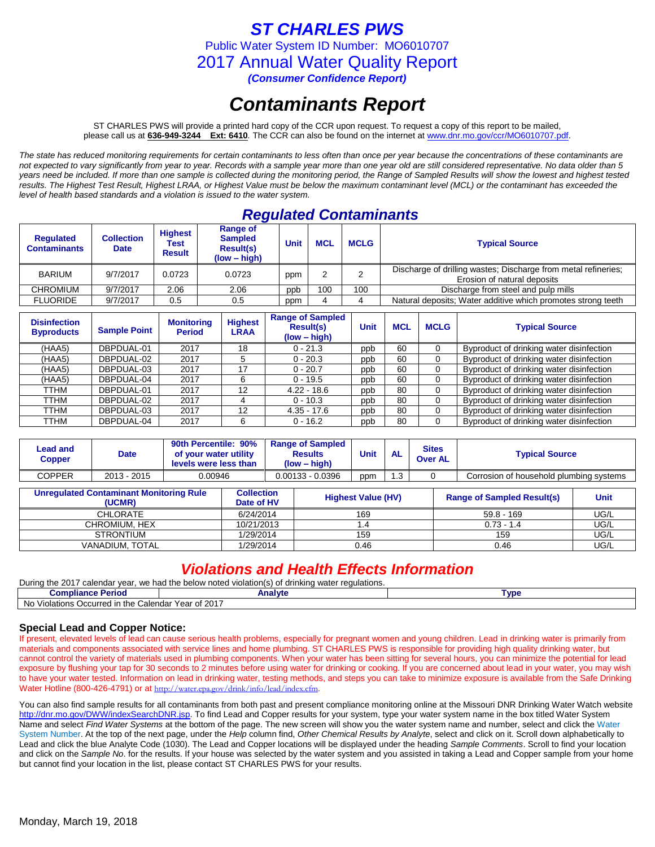*ST CHARLES PWS*

Public Water System ID Number: MO6010707

2017 Annual Water Quality Report

*(Consumer Confidence Report)*

# *Contaminants Report*

ST CHARLES PWS will provide a printed hard copy of the CCR upon request. To request a copy of this report to be mailed, please call us at **636-949-3244 Ext: 6410***.* The CCR can also be found on the internet at www.dnr.mo.gov/ccr/MO6010707.pdf.

*The state has reduced monitoring requirements for certain contaminants to less often than once per year because the concentrations of these contaminants are not expected to vary significantly from year to year. Records with a sample year more than one year old are still considered representative. No data older than 5 years need be included. If more than one sample is collected during the monitoring period, the Range of Sampled Results will show the lowest and highest tested results. The Highest Test Result, Highest LRAA, or Highest Value must be below the maximum contaminant level (MCL) or the contaminant has exceeded the level of health based standards and a violation is issued to the water system.* 

### *Regulated Contaminants*

| <b>Regulated</b><br><b>Contaminants</b> | <b>Collection</b><br><b>Date</b> | <b>Highest</b><br>Test<br><b>Result</b> | <b>Range of</b><br><b>Sampled</b><br><b>Result(s)</b><br>(low – high) | Unit | <b>MCL</b> | <b>MCLG</b> | <b>Typical Source</b>                                                                         |
|-----------------------------------------|----------------------------------|-----------------------------------------|-----------------------------------------------------------------------|------|------------|-------------|-----------------------------------------------------------------------------------------------|
| <b>BARIUM</b>                           | 9/7/2017                         | 0.0723                                  | 0.0723                                                                | ppm  |            |             | Discharge of drilling wastes; Discharge from metal refineries;<br>Erosion of natural deposits |
| CHROMIUM                                | 9/7/2017                         | 2.06                                    | 2.06                                                                  | ppp  | 100        | 100         | Discharge from steel and pulp mills                                                           |
| <b>FLUORIDE</b>                         | 9/7/2017                         | 0.5                                     | 0.5                                                                   | ppm  |            |             | Natural deposits; Water additive which promotes strong teeth                                  |

| <b>Disinfection</b><br><b>Byproducts</b> | <b>Sample Point</b> | <b>Monitoring</b><br><b>Period</b> | <b>Highest</b><br><b>LRAA</b> | <b>Range of Sampled</b><br><b>Result(s)</b><br>$(low - high)$ | <b>Unit</b> | <b>MCL</b> | <b>MCLG</b> | <b>Typical Source</b>                    |
|------------------------------------------|---------------------|------------------------------------|-------------------------------|---------------------------------------------------------------|-------------|------------|-------------|------------------------------------------|
| (HAA5)                                   | DBPDUAL-01          | 2017                               | 18                            | $0 - 21.3$                                                    | ppb         | 60         | $\Omega$    | Byproduct of drinking water disinfection |
| (HAA5)                                   | DBPDUAL-02          | 2017                               |                               | $0 - 20.3$                                                    | ppb         | 60         |             | Byproduct of drinking water disinfection |
| (HAA5)                                   | DBPDUAL-03          | 2017                               | 17                            | $0 - 20.7$                                                    | ppb         | 60         | 0           | Byproduct of drinking water disinfection |
| (HAA5)                                   | DBPDUAL-04          | 2017                               | 6                             | $0 - 19.5$                                                    | ppb         | 60         | $\Omega$    | Byproduct of drinking water disinfection |
| TTHM                                     | DBPDUAL-01          | 2017                               | 12                            | $4.22 - 18.6$                                                 | ppb         | 80         | $\Omega$    | Byproduct of drinking water disinfection |
| TTHM                                     | DBPDUAL-02          | 2017                               |                               | $0 - 10.3$                                                    | ppb         | 80         | $\Omega$    | Byproduct of drinking water disinfection |
| TTHM                                     | DBPDUAL-03          | 2017                               | 12                            | $4.35 - 17.6$                                                 | ppb         | 80         |             | Byproduct of drinking water disinfection |
| TTHM                                     | DBPDUAL-04          | 2017                               | 6                             | $0 - 16.2$                                                    | ppb         | 80         |             | Byproduct of drinking water disinfection |

| <b>Lead and</b><br><b>Copper</b>                         | <b>Date</b>     | 90th Percentile: 90%<br>of your water utility<br>levels were less than |           |                           | <b>Range of Sampled</b><br><b>Results</b><br>$(low - high)$                 | <b>Unit</b> | <b>AL</b>                                        | <b>Sites</b><br><b>Over AL</b> | <b>Typical Source</b> |      |
|----------------------------------------------------------|-----------------|------------------------------------------------------------------------|-----------|---------------------------|-----------------------------------------------------------------------------|-------------|--------------------------------------------------|--------------------------------|-----------------------|------|
| <b>COPPER</b>                                            | 2013 - 2015     | 0.00946                                                                |           |                           | $0.00133 - 0.0396$<br>Corrosion of household plumbing systems<br>1.3<br>ppm |             |                                                  |                                |                       |      |
| <b>Unregulated Contaminant Monitoring Rule</b><br>(UCMR) |                 | <b>Collection</b><br>Date of HV                                        |           | <b>Highest Value (HV)</b> |                                                                             |             | <b>Range of Sampled Result(s)</b><br><b>Unit</b> |                                |                       |      |
|                                                          | CHLORATE        |                                                                        | 6/24/2014 |                           |                                                                             | 169         |                                                  |                                | $59.8 - 169$          | UG/L |
| CHROMIUM, HEX                                            |                 |                                                                        |           | 10/21/2013                |                                                                             | 1.4         |                                                  |                                | $0.73 - 1.4$          | UG/L |
| <b>STRONTIUM</b>                                         |                 |                                                                        | 1/29/2014 |                           |                                                                             | 159         |                                                  |                                | 159                   | UG/L |
|                                                          | VANADIUM, TOTAL |                                                                        | 1/29/2014 |                           |                                                                             | 0.46        |                                                  |                                | 0.46                  | UG/L |

### *Violations and Health Effects Information*

During the 2017 calendar year, we had the below noted violation(s) of drinking water regulations. **Compliance Period Analyte Analyte Compliance Period Type** No Violations Occurred in the Calendar Year of 2017

### **Special Lead and Copper Notice:**

If present, elevated levels of lead can cause serious health problems, especially for pregnant women and young children. Lead in drinking water is primarily from materials and components associated with service lines and home plumbing. ST CHARLES PWS is responsible for providing high quality drinking water, but cannot control the variety of materials used in plumbing components. When your water has been sitting for several hours, you can minimize the potential for lead exposure by flushing your tap for 30 seconds to 2 minutes before using water for drinking or cooking. If you are concerned about lead in your water, you may wish to have your water tested. Information on lead in drinking water, testing methods, and steps you can take to minimize exposure is available from the Safe Drinking Water Hotline (800-426-4791) or at [http://water.epa.gov/drink/info/lead/index.cfm.](http://water.epa.gov/drink/info/lead/index.cfm)

You can also find sample results for all contaminants from both past and present compliance monitoring online at the Missouri DNR Drinking Water Watch website [http://dnr.mo.gov/DWW/indexSearchDNR.jsp.](http://dnr.mo.gov/DWW/indexSearchDNR.jsp) To find Lead and Copper results for your system, type your water system name in the box titled Water System Name and select *Find Water Systems* at the bottom of the page. The new screen will show you the water system name and number, select and click the Water System Number. At the top of the next page, under the *Help* column find, *Other Chemical Results by Analyte*, select and click on it. Scroll down alphabetically to Lead and click the blue Analyte Code (1030). The Lead and Copper locations will be displayed under the heading *Sample Comments*. Scroll to find your location and click on the *Sample No*. for the results. If your house was selected by the water system and you assisted in taking a Lead and Copper sample from your home but cannot find your location in the list, please contact ST CHARLES PWS for your results.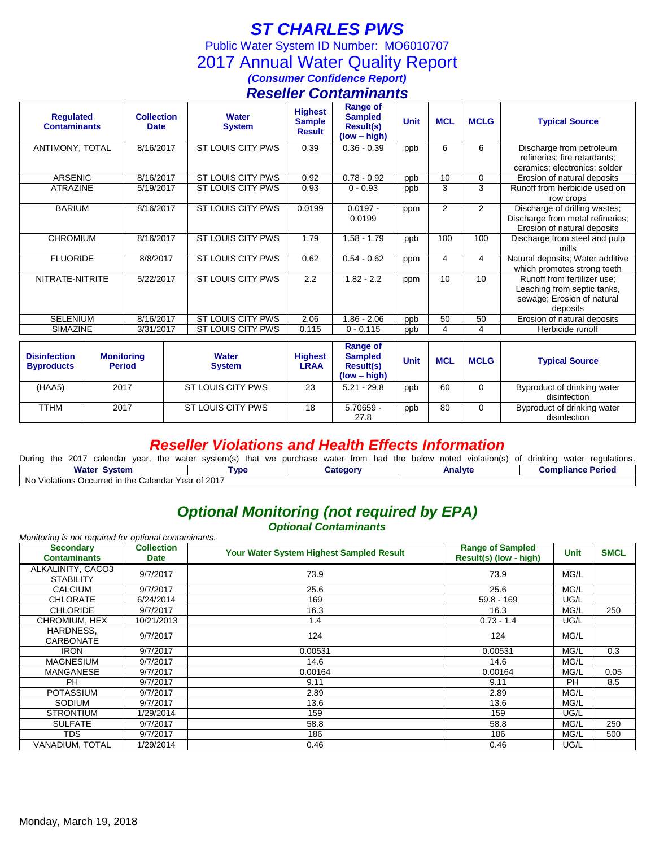# *ST CHARLES PWS*

Public Water System ID Number: MO6010707

2017 Annual Water Quality Report

## *(Consumer Confidence Report)*

## *Reseller Contaminants*

| <b>Requlated</b><br><b>Contaminants</b> | <b>Collection</b><br><b>Date</b> | <b>Water</b><br><b>System</b> | <b>Highest</b><br><b>Sample</b><br><b>Result</b> | <b>Range of</b><br><b>Sampled</b><br><b>Result(s)</b><br>$(low - high)$ | <b>Unit</b> | <b>MCL</b> | <b>MCLG</b> | <b>Typical Source</b>                                                                                |
|-----------------------------------------|----------------------------------|-------------------------------|--------------------------------------------------|-------------------------------------------------------------------------|-------------|------------|-------------|------------------------------------------------------------------------------------------------------|
| ANTIMONY, TOTAL                         | 8/16/2017                        | ST LOUIS CITY PWS             | 0.39                                             | $0.36 - 0.39$                                                           | ppb         | 6          | 6           | Discharge from petroleum<br>refineries; fire retardants;                                             |
|                                         |                                  |                               |                                                  |                                                                         |             |            |             | ceramics; electronics; solder                                                                        |
| <b>ARSENIC</b>                          | 8/16/2017                        | ST LOUIS CITY PWS             | 0.92                                             | $0.78 - 0.92$                                                           | ppb         | 10         | 0           | Erosion of natural deposits                                                                          |
| <b>ATRAZINE</b>                         | 5/19/2017                        | ST LOUIS CITY PWS             | 0.93                                             | $0 - 0.93$                                                              | ppb         | 3          | 3           | Runoff from herbicide used on<br>row crops                                                           |
| <b>BARIUM</b>                           | 8/16/2017                        | ST LOUIS CITY PWS             | 0.0199                                           | $0.0197 -$<br>0.0199                                                    | ppm         | 2          | 2           | Discharge of drilling wastes;<br>Discharge from metal refineries;<br>Erosion of natural deposits     |
| <b>CHROMIUM</b>                         | 8/16/2017                        | ST LOUIS CITY PWS             | 1.79                                             | $1.58 - 1.79$                                                           | ppb         | 100        | 100         | Discharge from steel and pulp<br>mills                                                               |
| <b>FLUORIDE</b>                         | 8/8/2017                         | ST LOUIS CITY PWS             | 0.62                                             | $0.54 - 0.62$                                                           | ppm         | 4          | 4           | Natural deposits; Water additive<br>which promotes strong teeth                                      |
| NITRATE-NITRITE                         | 5/22/2017                        | ST LOUIS CITY PWS             | 2.2                                              | $1.82 - 2.2$                                                            | ppm         | 10         | 10          | Runoff from fertilizer use:<br>Leaching from septic tanks,<br>sewage; Erosion of natural<br>deposits |
| <b>SELENIUM</b>                         | 8/16/2017                        | ST LOUIS CITY PWS             | 2.06                                             | $1.86 - 2.06$                                                           | ppb         | 50         | 50          | Erosion of natural deposits                                                                          |
| SIMAZINE                                | 3/31/2017                        | ST LOUIS CITY PWS             | 0.115                                            | $0 - 0.115$                                                             | ppb         | 4          | 4           | Herbicide runoff                                                                                     |

| <b>Disinfection</b><br><b>Byproducts</b> | <b>Monitoring</b><br><b>Period</b> | <b>Water</b><br><b>System</b> | <b>Highest</b><br>LRAA | Range of<br><b>Sampled</b><br><b>Result(s)</b><br>$(low - high)$ | Unit | <b>MCL</b> | <b>MCLG</b> | <b>Typical Source</b>                       |
|------------------------------------------|------------------------------------|-------------------------------|------------------------|------------------------------------------------------------------|------|------------|-------------|---------------------------------------------|
| (HAA5)                                   | 2017                               | ST LOUIS CITY PWS             | 23                     | $5.21 - 29.8$                                                    | ppb  | 60         |             | Byproduct of drinking water<br>disinfection |
| TTHM                                     | 2017                               | ST LOUIS CITY PWS             | 18                     | 5.70659 -<br>27.8                                                | ppb  | 80         |             | Byproduct of drinking water<br>disinfection |

### *Reseller Violations and Health Effects Information*

| During the 2017<br>calendar<br>the<br>vear.         | water system(s) that we purchase | water from had the below noted | violation(s) of drinking | regulations.<br>water    |  |  |  |
|-----------------------------------------------------|----------------------------------|--------------------------------|--------------------------|--------------------------|--|--|--|
| <b>Water System</b>                                 | `vpe                             | <b>Category</b>                | Analvte                  | <b>Compliance Period</b> |  |  |  |
| No Violations Occurred in the Calendar Year of 2017 |                                  |                                |                          |                          |  |  |  |

## *Optional Monitoring (not required by EPA)*

*Optional Contaminants*

|                                         |                                                                                                                                       | <i><b>Optional Containmants</b></i> |                                                   |             |             |
|-----------------------------------------|---------------------------------------------------------------------------------------------------------------------------------------|-------------------------------------|---------------------------------------------------|-------------|-------------|
| <b>Secondary</b><br><b>Contaminants</b> | Monitoring is not required for optional contaminants.<br><b>Collection</b><br>Your Water System Highest Sampled Result<br><b>Date</b> |                                     | <b>Range of Sampled</b><br>Result(s) (low - high) | <b>Unit</b> | <b>SMCL</b> |
| ALKALINITY, CACO3<br><b>STABILITY</b>   | 9/7/2017                                                                                                                              | 73.9                                | 73.9                                              | MG/L        |             |
| <b>CALCIUM</b>                          | 9/7/2017                                                                                                                              | 25.6                                | 25.6                                              | MG/L        |             |
| <b>CHLORATE</b>                         | 6/24/2014                                                                                                                             | 169                                 | $59.8 - 169$                                      | UG/L        |             |
| <b>CHLORIDE</b>                         | 9/7/2017                                                                                                                              | 16.3                                | 16.3                                              | MG/L        | 250         |
| CHROMIUM, HEX                           | 10/21/2013                                                                                                                            | 1.4                                 | $0.73 - 1.4$                                      | UG/L        |             |
| HARDNESS.<br>CARBONATE                  | 9/7/2017                                                                                                                              | 124                                 | 124                                               | MG/L        |             |
| <b>IRON</b>                             | 9/7/2017                                                                                                                              | 0.00531                             | 0.00531                                           | MG/L        | 0.3         |
| <b>MAGNESIUM</b>                        | 9/7/2017                                                                                                                              | 14.6                                | 14.6                                              | MG/L        |             |
| <b>MANGANESE</b>                        | 9/7/2017                                                                                                                              | 0.00164                             | 0.00164                                           | MG/L        | 0.05        |
| PH                                      | 9/7/2017                                                                                                                              | 9.11                                | 9.11                                              | <b>PH</b>   | 8.5         |
| <b>POTASSIUM</b>                        | 9/7/2017                                                                                                                              | 2.89                                | 2.89                                              | MG/L        |             |
| <b>SODIUM</b>                           | 9/7/2017                                                                                                                              | 13.6                                | 13.6                                              | MG/L        |             |
| <b>STRONTIUM</b>                        | 1/29/2014                                                                                                                             | 159                                 | 159                                               | UG/L        |             |
| <b>SULFATE</b>                          | 9/7/2017                                                                                                                              | 58.8                                | 58.8                                              | MG/L        | 250         |
| <b>TDS</b>                              | 9/7/2017                                                                                                                              | 186                                 | 186                                               | MG/L        | 500         |
| VANADIUM. TOTAL                         | 1/29/2014                                                                                                                             | 0.46                                | 0.46                                              | UG/L        |             |